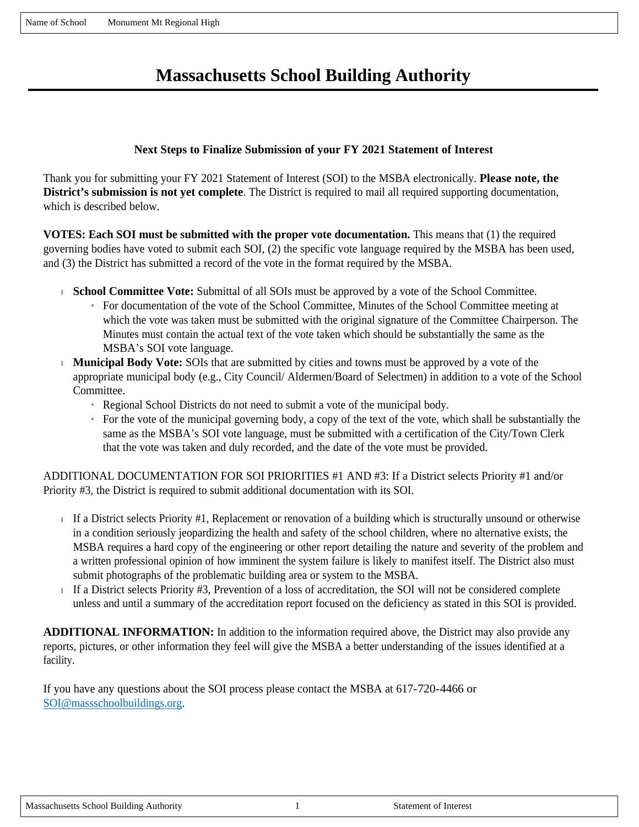# **Massachusetts School Building Authority**

## **Next Steps to Finalize Submission of your FY 2021 Statement of Interest**

Thank you for submitting your FY 2021 Statement of Interest (SOI) to the MSBA electronically. **Please note, the District's submission is not yet complete**. The District is required to mail all required supporting documentation, which is described below.

**VOTES: Each SOI must be submitted with the proper vote documentation.** This means that (1) the required governing bodies have voted to submit each SOI, (2) the specific vote language required by the MSBA has been used, and (3) the District has submitted a record of the vote in the format required by the MSBA.

- **School Committee Vote:** Submittal of all SOIs must be approved by a vote of the School Committee.
	- » For documentation of the vote of the School Committee, Minutes of the School Committee meeting at which the vote was taken must be submitted with the original signature of the Committee Chairperson. The Minutes must contain the actual text of the vote taken which should be substantially the same as the MSBA's SOI vote language.
- **Municipal Body Vote:** SOIs that are submitted by cities and towns must be approved by a vote of the appropriate municipal body (e.g., City Council/ Aldermen/Board of Selectmen) in addition to a vote of the School Committee.
	- » Regional School Districts do not need to submit a vote of the municipal body.
	- $\overline{a}$  For the vote of the municipal governing body, a copy of the text of the vote, which shall be substantially the same as the MSBA's SOI vote language, must be submitted with a certification of the City/Town Clerk that the vote was taken and duly recorded, and the date of the vote must be provided.

ADDITIONAL DOCUMENTATION FOR SOI PRIORITIES #1 AND #3: If a District selects Priority #1 and/or Priority #3, the District is required to submit additional documentation with its SOI.

- If a District selects Priority  $#1$ , Replacement or renovation of a building which is structurally unsound or otherwise in a condition seriously jeopardizing the health and safety of the school children, where no alternative exists, the MSBA requires a hard copy of the engineering or other report detailing the nature and severity of the problem and a written professional opinion of how imminent the system failure is likely to manifest itself. The District also must submit photographs of the problematic building area or system to the MSBA.
- If a District selects Priority #3, Prevention of a loss of accreditation, the SOI will not be considered complete unless and until a summary of the accreditation report focused on the deficiency as stated in this SOI is provided.

**ADDITIONAL INFORMATION:** In addition to the information required above, the District may also provide any reports, pictures, or other information they feel will give the MSBA a better understanding of the issues identified at a facility.

If you have any questions about the SOI process please contact the MSBA at 617-720-4466 or SOI@massschoolbuildings.org.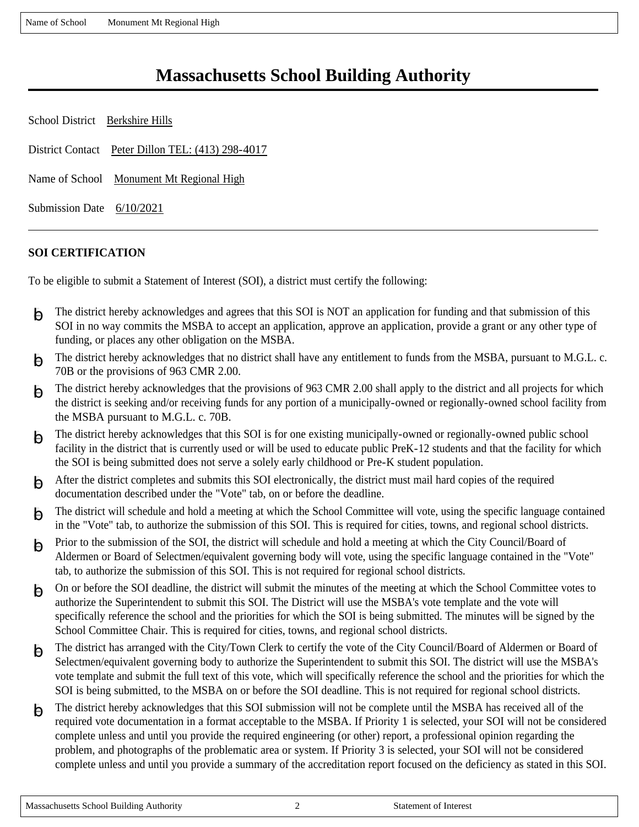Name of School Monument Mt Regional High

# **Massachusetts School Building Authority**

| School District Berkshire Hills                   |                                          |  |
|---------------------------------------------------|------------------------------------------|--|
| District Contact Peter Dillon TEL: (413) 298-4017 |                                          |  |
|                                                   | Name of School Monument Mt Regional High |  |
| Submission Date $6/10/2021$                       |                                          |  |

## **SOI CERTIFICATION**

To be eligible to submit a Statement of Interest (SOI), a district must certify the following:

- $\overline{\Theta}$  The district hereby acknowledges and agrees that this SOI is NOT an application for funding and that submission of this SOI in no way commits the MSBA to accept an application, approve an application, provide a grant or any other type of funding, or places any other obligation on the MSBA.
- $\overline{\Theta}$  The district hereby acknowledges that no district shall have any entitlement to funds from the MSBA, pursuant to M.G.L. c. 70B or the provisions of 963 CMR 2.00.
- $\Theta$  The district hereby acknowledges that the provisions of 963 CMR 2.00 shall apply to the district and all projects for which the district is seeking and/or receiving funds for any portion of a municipally-owned or regionally-owned school facility from the MSBA pursuant to M.G.L. c. 70B.
- $\overline{\Theta}$  The district hereby acknowledges that this SOI is for one existing municipally-owned or regionally-owned public school facility in the district that is currently used or will be used to educate public PreK-12 students and that the facility for which the SOI is being submitted does not serve a solely early childhood or Pre-K student population.
- $\overline{\Theta}$  After the district completes and submits this SOI electronically, the district must mail hard copies of the required documentation described under the "Vote" tab, on or before the deadline.
- $\overline{p}$  The district will schedule and hold a meeting at which the School Committee will vote, using the specific language contained in the "Vote" tab, to authorize the submission of this SOI. This is required for cities, towns, and regional school districts.
- $\beta$  Prior to the submission of the SOI, the district will schedule and hold a meeting at which the City Council/Board of Aldermen or Board of Selectmen/equivalent governing body will vote, using the specific language contained in the "Vote" tab, to authorize the submission of this SOI. This is not required for regional school districts.
- $\overline{\Theta}$  On or before the SOI deadline, the district will submit the minutes of the meeting at which the School Committee votes to authorize the Superintendent to submit this SOI. The District will use the MSBA's vote template and the vote will specifically reference the school and the priorities for which the SOI is being submitted. The minutes will be signed by the School Committee Chair. This is required for cities, towns, and regional school districts.
- $\overline{\Theta}$  The district has arranged with the City/Town Clerk to certify the vote of the City Council/Board of Aldermen or Board of Selectmen/equivalent governing body to authorize the Superintendent to submit this SOI. The district will use the MSBA's vote template and submit the full text of this vote, which will specifically reference the school and the priorities for which the SOI is being submitted, to the MSBA on or before the SOI deadline. This is not required for regional school districts.
- Fig. The district hereby acknowledges that this SOI submission will not be complete until the MSBA has received all of the required vote documentation in a format acceptable to the MSBA. If Priority 1 is selected, your SOI will not be considered complete unless and until you provide the required engineering (or other) report, a professional opinion regarding the problem, and photographs of the problematic area or system. If Priority 3 is selected, your SOI will not be considered complete unless and until you provide a summary of the accreditation report focused on the deficiency as stated in this SOI.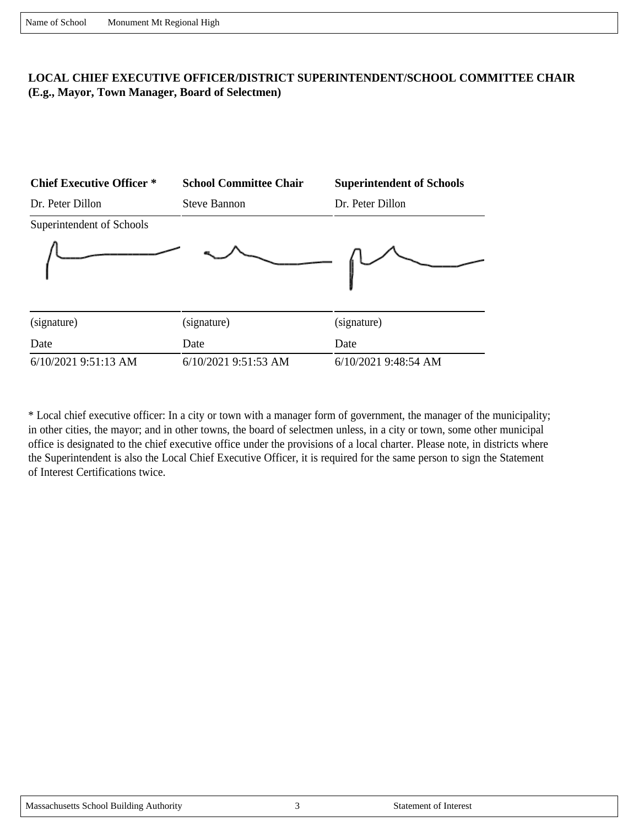## **LOCAL CHIEF EXECUTIVE OFFICER/DISTRICT SUPERINTENDENT/SCHOOL COMMITTEE CHAIR (E.g., Mayor, Town Manager, Board of Selectmen)**



\* Local chief executive officer: In a city or town with a manager form of government, the manager of the municipality; in other cities, the mayor; and in other towns, the board of selectmen unless, in a city or town, some other municipal office is designated to the chief executive office under the provisions of a local charter. Please note, in districts where the Superintendent is also the Local Chief Executive Officer, it is required for the same person to sign the Statement of Interest Certifications twice.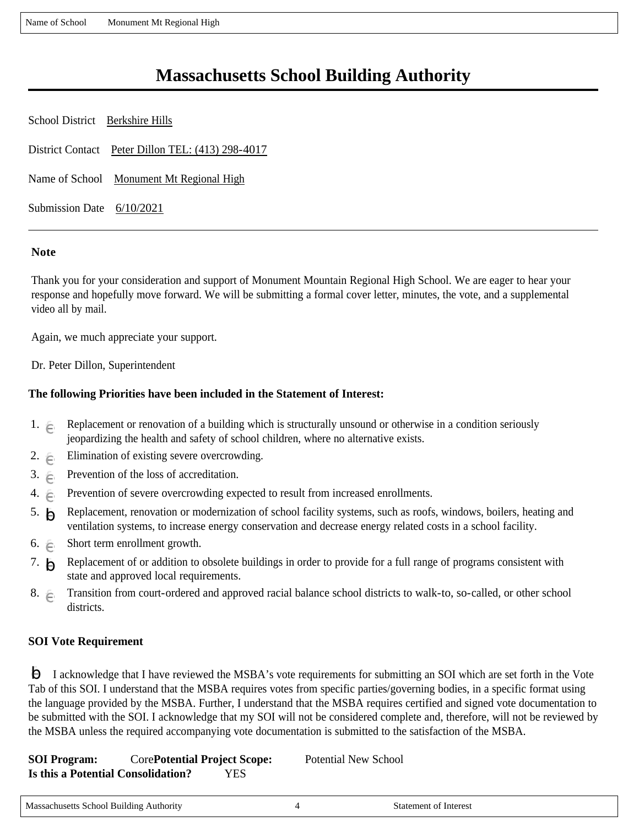Name of School Monument Mt Regional High

# **Massachusetts School Building Authority**

| School District Berkshire Hills |                                                   |
|---------------------------------|---------------------------------------------------|
|                                 | District Contact Peter Dillon TEL: (413) 298-4017 |
|                                 | Name of School Monument Mt Regional High          |
| Submission Date 6/10/2021       |                                                   |

### **Note**

Thank you for your consideration and support of Monument Mountain Regional High School. We are eager to hear your response and hopefully move forward. We will be submitting a formal cover letter, minutes, the vote, and a supplemental video all by mail.

Again, we much appreciate your support.

Dr. Peter Dillon, Superintendent

### **The following Priorities have been included in the Statement of Interest:**

- 1.  $\epsilon$  Replacement or renovation of a building which is structurally unsound or otherwise in a condition seriously jeopardizing the health and safety of school children, where no alternative exists.
- 2.  $\epsilon$  Elimination of existing severe overcrowding.
- 3.  $\epsilon$  Prevention of the loss of accreditation.
- 4.  $\epsilon$  Prevention of severe overcrowding expected to result from increased enrollments.
- 5.  $\bigcap$  Replacement, renovation or modernization of school facility systems, such as roofs, windows, boilers, heating and ventilation systems, to increase energy conservation and decrease energy related costs in a school facility.
- 6.  $\epsilon$  Short term enrollment growth.
- 7.  $\Box$  Replacement of or addition to obsolete buildings in order to provide for a full range of programs consistent with state and approved local requirements.
- 8. Fransition from court-ordered and approved racial balance school districts to walk-to, so-called, or other school districts.

#### **SOI Vote Requirement**

 I acknowledge that I have reviewed the MSBA's vote requirements for submitting an SOI which are set forth in the Vote gfedcb Tab of this SOI. I understand that the MSBA requires votes from specific parties/governing bodies, in a specific format using the language provided by the MSBA. Further, I understand that the MSBA requires certified and signed vote documentation to be submitted with the SOI. I acknowledge that my SOI will not be considered complete and, therefore, will not be reviewed by the MSBA unless the required accompanying vote documentation is submitted to the satisfaction of the MSBA.

**SOI Program:** Core**Potential Project Scope:** Potential New School **Is this a Potential Consolidation?** YES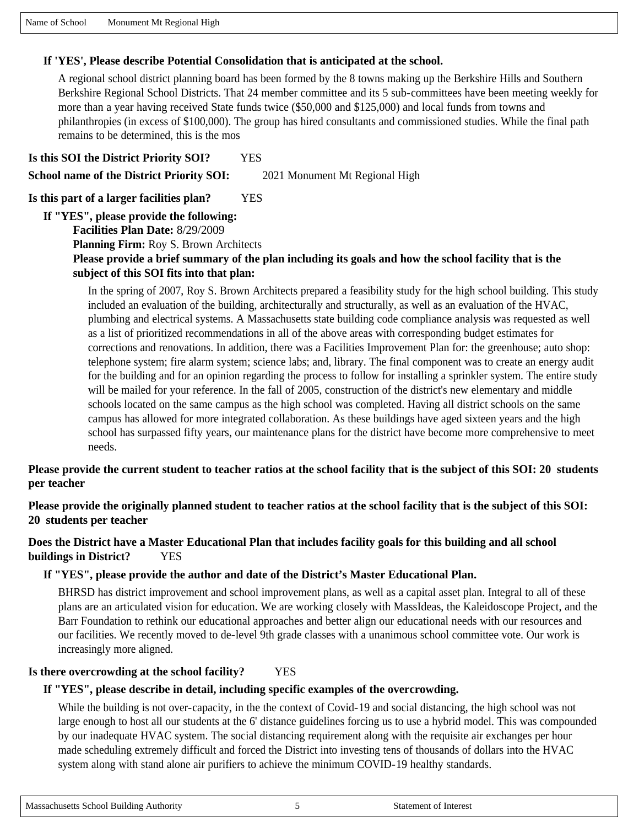Massachusetts School Building Authority 5 5 Statement of Interest

Name of School Monument Mt Regional High

## **If 'YES', Please describe Potential Consolidation that is anticipated at the school.**

A regional school district planning board has been formed by the 8 towns making up the Berkshire Hills and Southern Berkshire Regional School Districts. That 24 member committee and its 5 sub-committees have been meeting weekly for more than a year having received State funds twice (\$50,000 and \$125,000) and local funds from towns and philanthropies (in excess of \$100,000). The group has hired consultants and commissioned studies. While the final path remains to be determined, this is the mos

**Is this SOI the District Priority SOI?** YES **School name of the District Priority SOI:** 2021 Monument Mt Regional High

**Is this part of a larger facilities plan?** YES

**If "YES", please provide the following:**

**Facilities Plan Date:** 8/29/2009

**Planning Firm:** Roy S. Brown Architects

## **Please provide a brief summary of the plan including its goals and how the school facility that is the subject of this SOI fits into that plan:**

In the spring of 2007, Roy S. Brown Architects prepared a feasibility study for the high school building. This study included an evaluation of the building, architecturally and structurally, as well as an evaluation of the HVAC, plumbing and electrical systems. A Massachusetts state building code compliance analysis was requested as well as a list of prioritized recommendations in all of the above areas with corresponding budget estimates for corrections and renovations. In addition, there was a Facilities Improvement Plan for: the greenhouse; auto shop: telephone system; fire alarm system; science labs; and, library. The final component was to create an energy audit for the building and for an opinion regarding the process to follow for installing a sprinkler system. The entire study will be mailed for your reference. In the fall of 2005, construction of the district's new elementary and middle schools located on the same campus as the high school was completed. Having all district schools on the same campus has allowed for more integrated collaboration. As these buildings have aged sixteen years and the high school has surpassed fifty years, our maintenance plans for the district have become more comprehensive to meet needs.

## **Please provide the current student to teacher ratios at the school facility that is the subject of this SOI: 20 students per teacher**

**Please provide the originally planned student to teacher ratios at the school facility that is the subject of this SOI: 20 students per teacher**

## **Does the District have a Master Educational Plan that includes facility goals for this building and all school buildings in District?** YES

## **If "YES", please provide the author and date of the District's Master Educational Plan.**

BHRSD has district improvement and school improvement plans, as well as a capital asset plan. Integral to all of these plans are an articulated vision for education. We are working closely with MassIdeas, the Kaleidoscope Project, and the Barr Foundation to rethink our educational approaches and better align our educational needs with our resources and our facilities. We recently moved to de-level 9th grade classes with a unanimous school committee vote. Our work is increasingly more aligned.

## **Is there overcrowding at the school facility?** YES

## **If "YES", please describe in detail, including specific examples of the overcrowding.**

While the building is not over-capacity, in the the context of Covid-19 and social distancing, the high school was not large enough to host all our students at the 6' distance guidelines forcing us to use a hybrid model. This was compounded by our inadequate HVAC system. The social distancing requirement along with the requisite air exchanges per hour made scheduling extremely difficult and forced the District into investing tens of thousands of dollars into the HVAC system along with stand alone air purifiers to achieve the minimum COVID-19 healthy standards.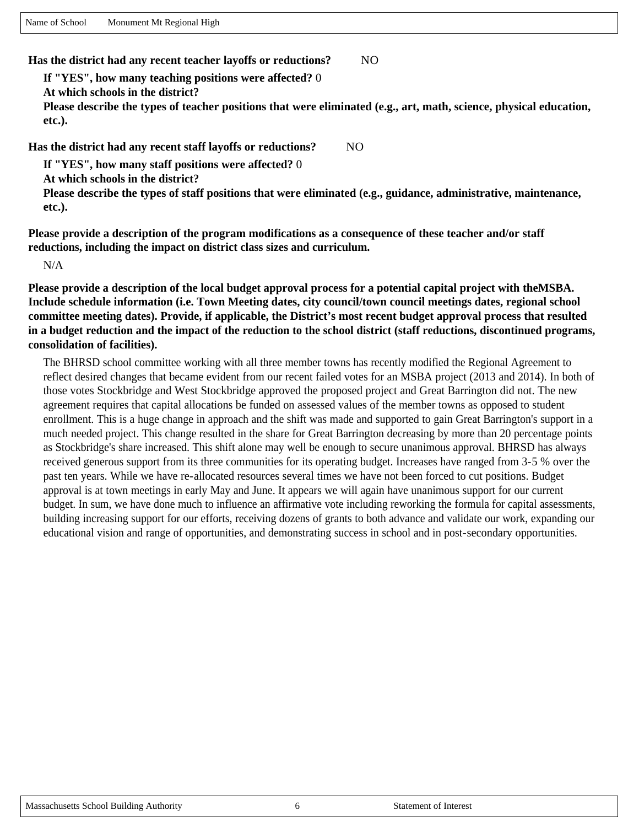Name of School Monument Mt Regional High

**Has the district had any recent teacher layoffs or reductions?** NO

**If "YES", how many teaching positions were affected?** 0

**At which schools in the district?** 

**Please describe the types of teacher positions that were eliminated (e.g., art, math, science, physical education, etc.).** 

**Has the district had any recent staff layoffs or reductions?** NO

**If "YES", how many staff positions were affected?** 0

**At which schools in the district?** 

**Please describe the types of staff positions that were eliminated (e.g., guidance, administrative, maintenance, etc.).** 

**Please provide a description of the program modifications as a consequence of these teacher and/or staff reductions, including the impact on district class sizes and curriculum.**

N/A

**Please provide a description of the local budget approval process for a potential capital project with theMSBA. Include schedule information (i.e. Town Meeting dates, city council/town council meetings dates, regional school committee meeting dates). Provide, if applicable, the District's most recent budget approval process that resulted in a budget reduction and the impact of the reduction to the school district (staff reductions, discontinued programs, consolidation of facilities).**

The BHRSD school committee working with all three member towns has recently modified the Regional Agreement to reflect desired changes that became evident from our recent failed votes for an MSBA project (2013 and 2014). In both of those votes Stockbridge and West Stockbridge approved the proposed project and Great Barrington did not. The new agreement requires that capital allocations be funded on assessed values of the member towns as opposed to student enrollment. This is a huge change in approach and the shift was made and supported to gain Great Barrington's support in a much needed project. This change resulted in the share for Great Barrington decreasing by more than 20 percentage points as Stockbridge's share increased. This shift alone may well be enough to secure unanimous approval. BHRSD has always received generous support from its three communities for its operating budget. Increases have ranged from 3-5 % over the past ten years. While we have re-allocated resources several times we have not been forced to cut positions. Budget approval is at town meetings in early May and June. It appears we will again have unanimous support for our current budget. In sum, we have done much to influence an affirmative vote including reworking the formula for capital assessments, building increasing support for our efforts, receiving dozens of grants to both advance and validate our work, expanding our educational vision and range of opportunities, and demonstrating success in school and in post-secondary opportunities.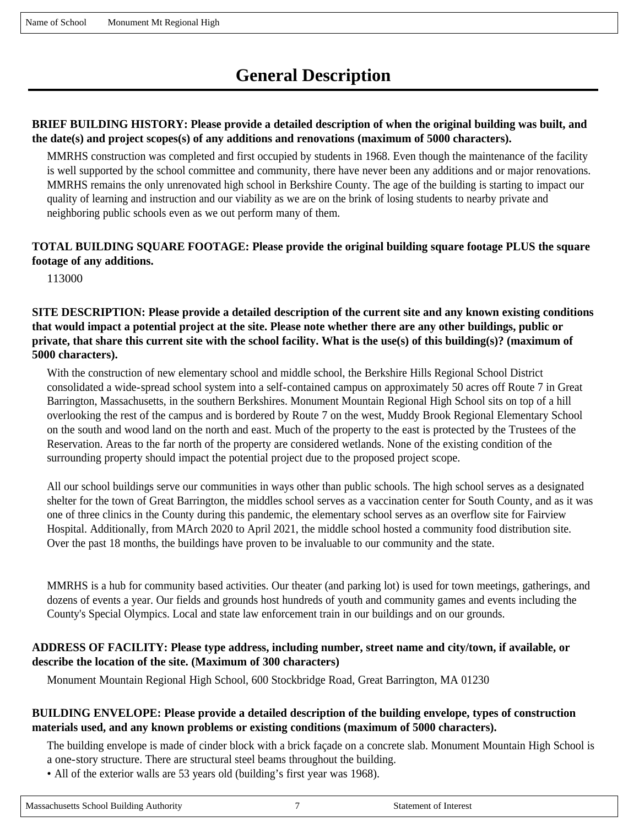# **General Description**

### **BRIEF BUILDING HISTORY: Please provide a detailed description of when the original building was built, and the date(s) and project scopes(s) of any additions and renovations (maximum of 5000 characters).**

MMRHS construction was completed and first occupied by students in 1968. Even though the maintenance of the facility is well supported by the school committee and community, there have never been any additions and or major renovations. MMRHS remains the only unrenovated high school in Berkshire County. The age of the building is starting to impact our quality of learning and instruction and our viability as we are on the brink of losing students to nearby private and neighboring public schools even as we out perform many of them.

### **TOTAL BUILDING SQUARE FOOTAGE: Please provide the original building square footage PLUS the square footage of any additions.**

113000

**SITE DESCRIPTION: Please provide a detailed description of the current site and any known existing conditions that would impact a potential project at the site. Please note whether there are any other buildings, public or private, that share this current site with the school facility. What is the use(s) of this building(s)? (maximum of 5000 characters).**

With the construction of new elementary school and middle school, the Berkshire Hills Regional School District consolidated a wide-spread school system into a self-contained campus on approximately 50 acres off Route 7 in Great Barrington, Massachusetts, in the southern Berkshires. Monument Mountain Regional High School sits on top of a hill overlooking the rest of the campus and is bordered by Route 7 on the west, Muddy Brook Regional Elementary School on the south and wood land on the north and east. Much of the property to the east is protected by the Trustees of the Reservation. Areas to the far north of the property are considered wetlands. None of the existing condition of the surrounding property should impact the potential project due to the proposed project scope.

All our school buildings serve our communities in ways other than public schools. The high school serves as a designated shelter for the town of Great Barrington, the middles school serves as a vaccination center for South County, and as it was one of three clinics in the County during this pandemic, the elementary school serves as an overflow site for Fairview Hospital. Additionally, from MArch 2020 to April 2021, the middle school hosted a community food distribution site. Over the past 18 months, the buildings have proven to be invaluable to our community and the state.

MMRHS is a hub for community based activities. Our theater (and parking lot) is used for town meetings, gatherings, and dozens of events a year. Our fields and grounds host hundreds of youth and community games and events including the County's Special Olympics. Local and state law enforcement train in our buildings and on our grounds.

#### **ADDRESS OF FACILITY: Please type address, including number, street name and city/town, if available, or describe the location of the site. (Maximum of 300 characters)**

Monument Mountain Regional High School, 600 Stockbridge Road, Great Barrington, MA 01230

#### **BUILDING ENVELOPE: Please provide a detailed description of the building envelope, types of construction materials used, and any known problems or existing conditions (maximum of 5000 characters).**

The building envelope is made of cinder block with a brick façade on a concrete slab. Monument Mountain High School is

a one-story structure. There are structural steel beams throughout the building.

• All of the exterior walls are 53 years old (building's first year was 1968).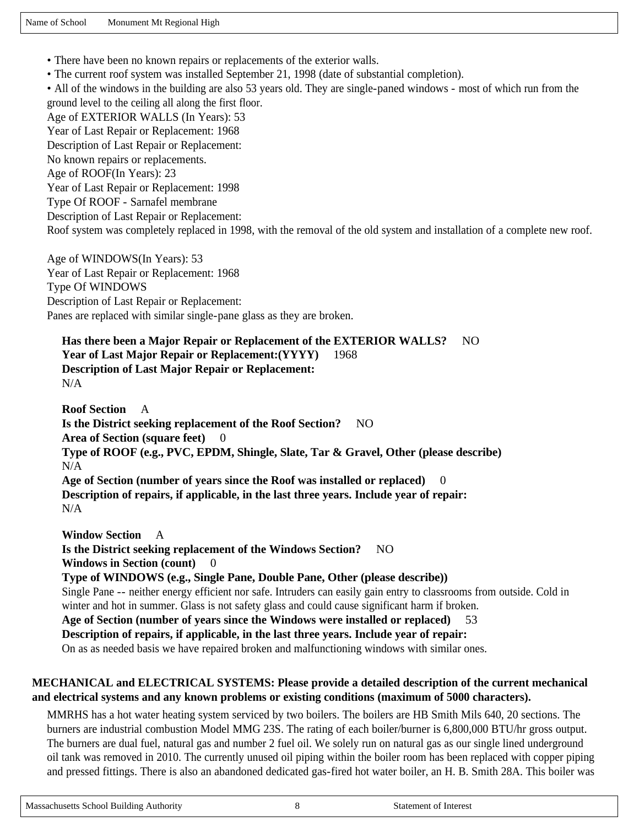- There have been no known repairs or replacements of the exterior walls.
- The current roof system was installed September 21, 1998 (date of substantial completion).

• All of the windows in the building are also 53 years old. They are single-paned windows - most of which run from the ground level to the ceiling all along the first floor. Age of EXTERIOR WALLS (In Years): 53

Year of Last Repair or Replacement: 1968

Description of Last Repair or Replacement:

No known repairs or replacements.

Age of ROOF(In Years): 23

Year of Last Repair or Replacement: 1998

Type Of ROOF - Sarnafel membrane

Description of Last Repair or Replacement:

Roof system was completely replaced in 1998, with the removal of the old system and installation of a complete new roof.

Age of WINDOWS(In Years): 53 Year of Last Repair or Replacement: 1968 Type Of WINDOWS Description of Last Repair or Replacement: Panes are replaced with similar single-pane glass as they are broken.

**Has there been a Major Repair or Replacement of the EXTERIOR WALLS?** NO **Year of Last Major Repair or Replacement:(YYYY)** 1968 **Description of Last Major Repair or Replacement:**  N/A

**Roof Section** A **Is the District seeking replacement of the Roof Section?** NO Area of Section (square feet) 0 **Type of ROOF (e.g., PVC, EPDM, Shingle, Slate, Tar & Gravel, Other (please describe)**  N/A Age of Section (number of years since the Roof was installed or replaced) **Description of repairs, if applicable, in the last three years. Include year of repair:**  N/A

**Window Section** A **Is the District seeking replacement of the Windows Section?** NO **Windows in Section (count)** 0 **Type of WINDOWS (e.g., Single Pane, Double Pane, Other (please describe))**  Single Pane -- neither energy efficient nor safe. Intruders can easily gain entry to classrooms from outside. Cold in winter and hot in summer. Glass is not safety glass and could cause significant harm if broken. **Age of Section (number of years since the Windows were installed or replaced)** 53 **Description of repairs, if applicable, in the last three years. Include year of repair:**  On as as needed basis we have repaired broken and malfunctioning windows with similar ones.

### **MECHANICAL and ELECTRICAL SYSTEMS: Please provide a detailed description of the current mechanical and electrical systems and any known problems or existing conditions (maximum of 5000 characters).**

MMRHS has a hot water heating system serviced by two boilers. The boilers are HB Smith Mils 640, 20 sections. The burners are industrial combustion Model MMG 23S. The rating of each boiler/burner is 6,800,000 BTU/hr gross output. The burners are dual fuel, natural gas and number 2 fuel oil. We solely run on natural gas as our single lined underground oil tank was removed in 2010. The currently unused oil piping within the boiler room has been replaced with copper piping and pressed fittings. There is also an abandoned dedicated gas-fired hot water boiler, an H. B. Smith 28A. This boiler was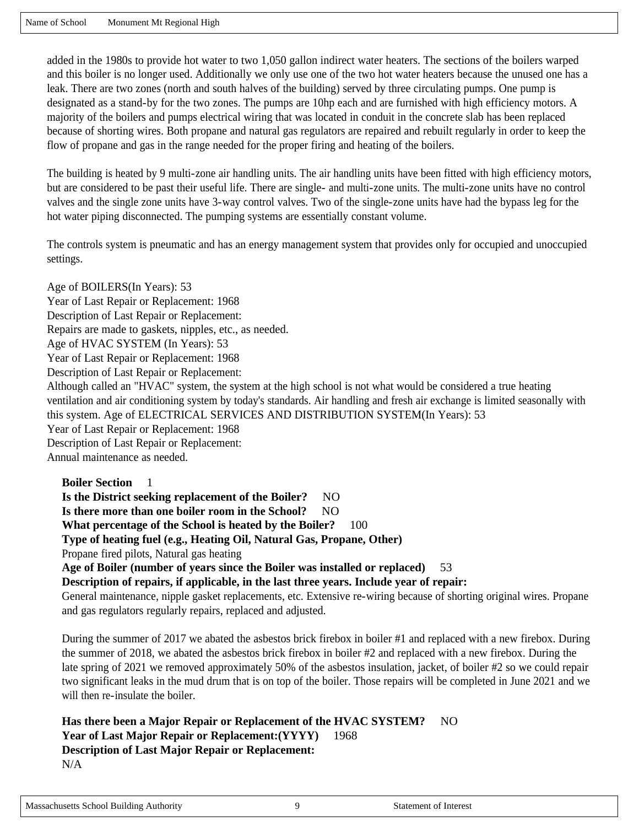added in the 1980s to provide hot water to two 1,050 gallon indirect water heaters. The sections of the boilers warped and this boiler is no longer used. Additionally we only use one of the two hot water heaters because the unused one has a leak. There are two zones (north and south halves of the building) served by three circulating pumps. One pump is designated as a stand-by for the two zones. The pumps are 10hp each and are furnished with high efficiency motors. A majority of the boilers and pumps electrical wiring that was located in conduit in the concrete slab has been replaced because of shorting wires. Both propane and natural gas regulators are repaired and rebuilt regularly in order to keep the flow of propane and gas in the range needed for the proper firing and heating of the boilers.

The building is heated by 9 multi-zone air handling units. The air handling units have been fitted with high efficiency motors, but are considered to be past their useful life. There are single- and multi-zone units. The multi-zone units have no control valves and the single zone units have 3-way control valves. Two of the single-zone units have had the bypass leg for the hot water piping disconnected. The pumping systems are essentially constant volume.

The controls system is pneumatic and has an energy management system that provides only for occupied and unoccupied settings.

Age of BOILERS(In Years): 53 Year of Last Repair or Replacement: 1968 Description of Last Repair or Replacement: Repairs are made to gaskets, nipples, etc., as needed. Age of HVAC SYSTEM (In Years): 53 Year of Last Repair or Replacement: 1968 Description of Last Repair or Replacement: Although called an "HVAC" system, the system at the high school is not what would be considered a true heating ventilation and air conditioning system by today's standards. Air handling and fresh air exchange is limited seasonally with this system. Age of ELECTRICAL SERVICES AND DISTRIBUTION SYSTEM(In Years): 53 Year of Last Repair or Replacement: 1968 Description of Last Repair or Replacement: Annual maintenance as needed.

**Boiler Section** 1 **Is the District seeking replacement of the Boiler?** NO Is there more than one boiler room in the School? NO **What percentage of the School is heated by the Boiler?** 100 **Type of heating fuel (e.g., Heating Oil, Natural Gas, Propane, Other)**  Propane fired pilots, Natural gas heating **Age of Boiler (number of years since the Boiler was installed or replaced)** 53 **Description of repairs, if applicable, in the last three years. Include year of repair:**  General maintenance, nipple gasket replacements, etc. Extensive re-wiring because of shorting original wires. Propane and gas regulators regularly repairs, replaced and adjusted.

During the summer of 2017 we abated the asbestos brick firebox in boiler #1 and replaced with a new firebox. During the summer of 2018, we abated the asbestos brick firebox in boiler #2 and replaced with a new firebox. During the late spring of 2021 we removed approximately 50% of the asbestos insulation, jacket, of boiler #2 so we could repair two significant leaks in the mud drum that is on top of the boiler. Those repairs will be completed in June 2021 and we will then re-insulate the boiler.

**Has there been a Major Repair or Replacement of the HVAC SYSTEM?** NO **Year of Last Major Repair or Replacement:(YYYY)** 1968 **Description of Last Major Repair or Replacement:**  N/A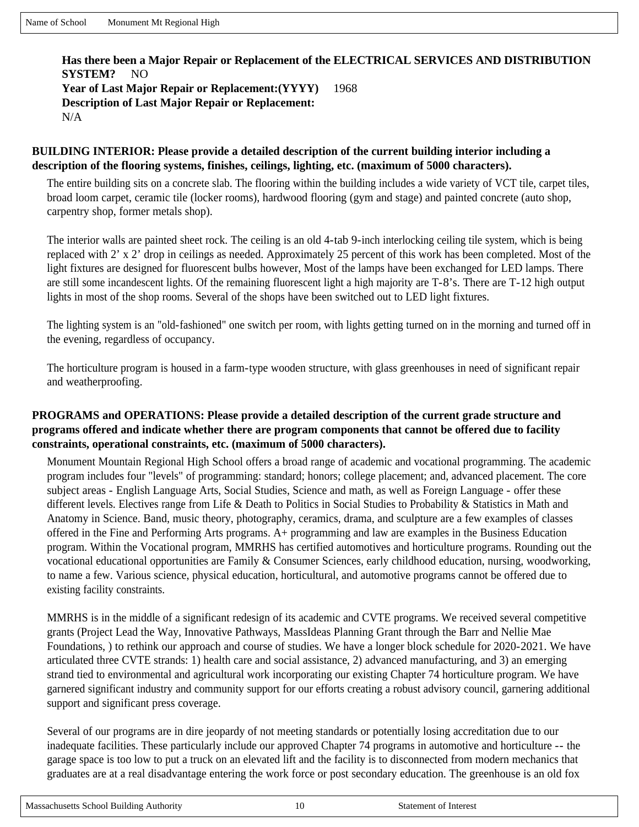## **Has there been a Major Repair or Replacement of the ELECTRICAL SERVICES AND DISTRIBUTION SYSTEM?** NO **Year of Last Major Repair or Replacement:(YYYY)** 1968 **Description of Last Major Repair or Replacement:**  N/A

#### **BUILDING INTERIOR: Please provide a detailed description of the current building interior including a description of the flooring systems, finishes, ceilings, lighting, etc. (maximum of 5000 characters).**

The entire building sits on a concrete slab. The flooring within the building includes a wide variety of VCT tile, carpet tiles, broad loom carpet, ceramic tile (locker rooms), hardwood flooring (gym and stage) and painted concrete (auto shop, carpentry shop, former metals shop).

The interior walls are painted sheet rock. The ceiling is an old 4-tab 9-inch interlocking ceiling tile system, which is being replaced with 2' x 2' drop in ceilings as needed. Approximately 25 percent of this work has been completed. Most of the light fixtures are designed for fluorescent bulbs however, Most of the lamps have been exchanged for LED lamps. There are still some incandescent lights. Of the remaining fluorescent light a high majority are T-8's. There are T-12 high output lights in most of the shop rooms. Several of the shops have been switched out to LED light fixtures.

The lighting system is an "old-fashioned" one switch per room, with lights getting turned on in the morning and turned off in the evening, regardless of occupancy.

The horticulture program is housed in a farm-type wooden structure, with glass greenhouses in need of significant repair and weatherproofing.

#### **PROGRAMS and OPERATIONS: Please provide a detailed description of the current grade structure and programs offered and indicate whether there are program components that cannot be offered due to facility constraints, operational constraints, etc. (maximum of 5000 characters).**

Monument Mountain Regional High School offers a broad range of academic and vocational programming. The academic program includes four "levels" of programming: standard; honors; college placement; and, advanced placement. The core subject areas - English Language Arts, Social Studies, Science and math, as well as Foreign Language - offer these different levels. Electives range from Life & Death to Politics in Social Studies to Probability & Statistics in Math and Anatomy in Science. Band, music theory, photography, ceramics, drama, and sculpture are a few examples of classes offered in the Fine and Performing Arts programs. A+ programming and law are examples in the Business Education program. Within the Vocational program, MMRHS has certified automotives and horticulture programs. Rounding out the vocational educational opportunities are Family & Consumer Sciences, early childhood education, nursing, woodworking, to name a few. Various science, physical education, horticultural, and automotive programs cannot be offered due to existing facility constraints.

MMRHS is in the middle of a significant redesign of its academic and CVTE programs. We received several competitive grants (Project Lead the Way, Innovative Pathways, MassIdeas Planning Grant through the Barr and Nellie Mae Foundations, ) to rethink our approach and course of studies. We have a longer block schedule for 2020-2021. We have articulated three CVTE strands: 1) health care and social assistance, 2) advanced manufacturing, and 3) an emerging strand tied to environmental and agricultural work incorporating our existing Chapter 74 horticulture program. We have garnered significant industry and community support for our efforts creating a robust advisory council, garnering additional support and significant press coverage.

Several of our programs are in dire jeopardy of not meeting standards or potentially losing accreditation due to our inadequate facilities. These particularly include our approved Chapter 74 programs in automotive and horticulture -- the garage space is too low to put a truck on an elevated lift and the facility is to disconnected from modern mechanics that graduates are at a real disadvantage entering the work force or post secondary education. The greenhouse is an old fox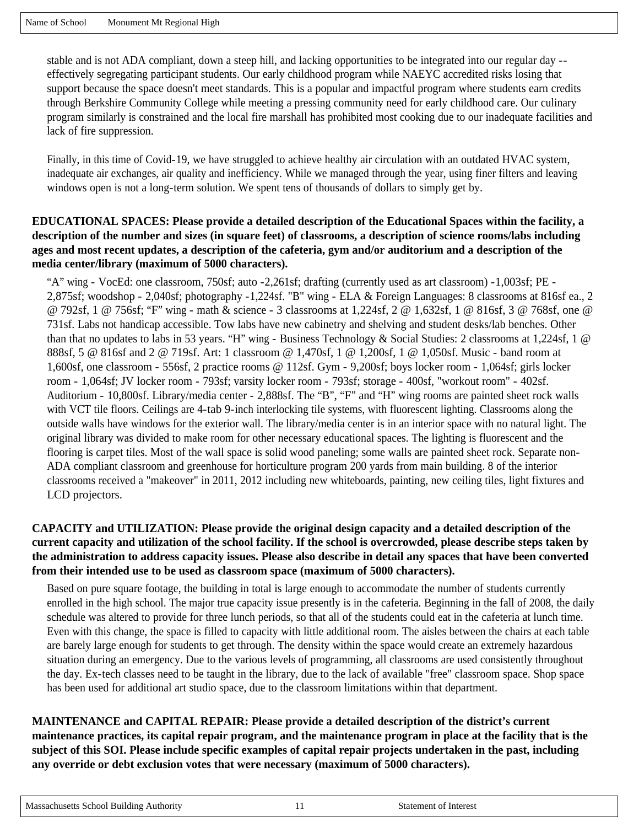stable and is not ADA compliant, down a steep hill, and lacking opportunities to be integrated into our regular day - effectively segregating participant students. Our early childhood program while NAEYC accredited risks losing that support because the space doesn't meet standards. This is a popular and impactful program where students earn credits through Berkshire Community College while meeting a pressing community need for early childhood care. Our culinary program similarly is constrained and the local fire marshall has prohibited most cooking due to our inadequate facilities and lack of fire suppression.

Finally, in this time of Covid-19, we have struggled to achieve healthy air circulation with an outdated HVAC system, inadequate air exchanges, air quality and inefficiency. While we managed through the year, using finer filters and leaving windows open is not a long-term solution. We spent tens of thousands of dollars to simply get by.

#### **EDUCATIONAL SPACES: Please provide a detailed description of the Educational Spaces within the facility, a description of the number and sizes (in square feet) of classrooms, a description of science rooms/labs including ages and most recent updates, a description of the cafeteria, gym and/or auditorium and a description of the media center/library (maximum of 5000 characters).**

"A" wing - VocEd: one classroom, 750sf; auto -2,261sf; drafting (currently used as art classroom) -1,003sf; PE - 2,875sf; woodshop - 2,040sf; photography -1,224sf. "B" wing - ELA & Foreign Languages: 8 classrooms at 816sf ea., 2 @ 792sf, 1 @ 756sf; "F" wing - math & science - 3 classrooms at 1,224sf, 2 @ 1,632sf, 1 @ 816sf, 3 @ 768sf, one @ 731sf. Labs not handicap accessible. Tow labs have new cabinetry and shelving and student desks/lab benches. Other than that no updates to labs in 53 years. "H" wing - Business Technology & Social Studies: 2 classrooms at 1,224sf, 1 @ 888sf, 5 @ 816sf and 2 @ 719sf. Art: 1 classroom @ 1,470sf, 1 @ 1,200sf, 1 @ 1,050sf. Music - band room at 1,600sf, one classroom - 556sf, 2 practice rooms @ 112sf. Gym - 9,200sf; boys locker room - 1,064sf; girls locker room - 1,064sf; JV locker room - 793sf; varsity locker room - 793sf; storage - 400sf, "workout room" - 402sf. Auditorium - 10,800sf. Library/media center - 2,888sf. The "B", "F" and "H" wing rooms are painted sheet rock walls with VCT tile floors. Ceilings are 4-tab 9-inch interlocking tile systems, with fluorescent lighting. Classrooms along the outside walls have windows for the exterior wall. The library/media center is in an interior space with no natural light. The original library was divided to make room for other necessary educational spaces. The lighting is fluorescent and the flooring is carpet tiles. Most of the wall space is solid wood paneling; some walls are painted sheet rock. Separate non-ADA compliant classroom and greenhouse for horticulture program 200 yards from main building. 8 of the interior classrooms received a "makeover" in 2011, 2012 including new whiteboards, painting, new ceiling tiles, light fixtures and LCD projectors.

### **CAPACITY and UTILIZATION: Please provide the original design capacity and a detailed description of the current capacity and utilization of the school facility. If the school is overcrowded, please describe steps taken by the administration to address capacity issues. Please also describe in detail any spaces that have been converted from their intended use to be used as classroom space (maximum of 5000 characters).**

Based on pure square footage, the building in total is large enough to accommodate the number of students currently enrolled in the high school. The major true capacity issue presently is in the cafeteria. Beginning in the fall of 2008, the daily schedule was altered to provide for three lunch periods, so that all of the students could eat in the cafeteria at lunch time. Even with this change, the space is filled to capacity with little additional room. The aisles between the chairs at each table are barely large enough for students to get through. The density within the space would create an extremely hazardous situation during an emergency. Due to the various levels of programming, all classrooms are used consistently throughout the day. Ex-tech classes need to be taught in the library, due to the lack of available "free" classroom space. Shop space has been used for additional art studio space, due to the classroom limitations within that department.

**MAINTENANCE and CAPITAL REPAIR: Please provide a detailed description of the district's current maintenance practices, its capital repair program, and the maintenance program in place at the facility that is the subject of this SOI. Please include specific examples of capital repair projects undertaken in the past, including any override or debt exclusion votes that were necessary (maximum of 5000 characters).**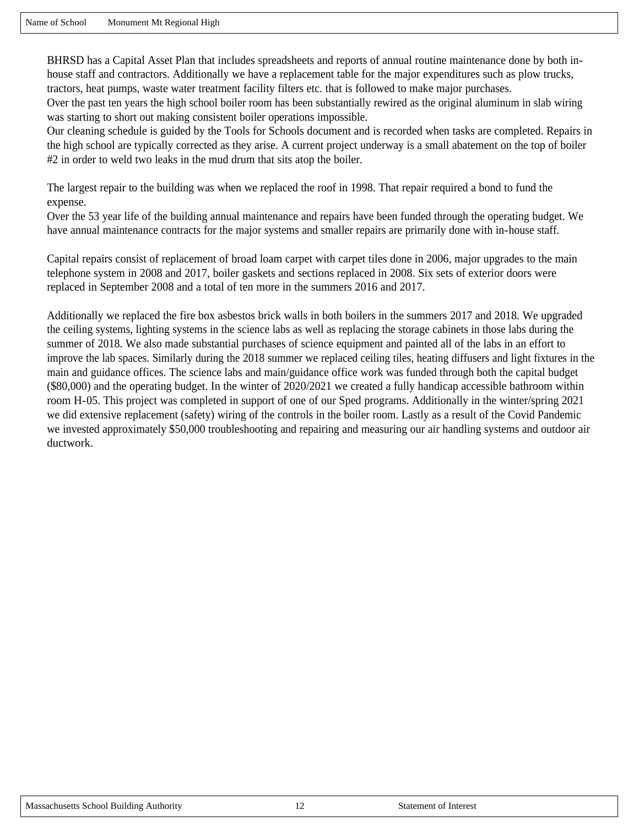BHRSD has a Capital Asset Plan that includes spreadsheets and reports of annual routine maintenance done by both inhouse staff and contractors. Additionally we have a replacement table for the major expenditures such as plow trucks, tractors, heat pumps, waste water treatment facility filters etc. that is followed to make major purchases.

Over the past ten years the high school boiler room has been substantially rewired as the original aluminum in slab wiring was starting to short out making consistent boiler operations impossible.

Our cleaning schedule is guided by the Tools for Schools document and is recorded when tasks are completed. Repairs in the high school are typically corrected as they arise. A current project underway is a small abatement on the top of boiler #2 in order to weld two leaks in the mud drum that sits atop the boiler.

The largest repair to the building was when we replaced the roof in 1998. That repair required a bond to fund the expense.

Over the 53 year life of the building annual maintenance and repairs have been funded through the operating budget. We have annual maintenance contracts for the major systems and smaller repairs are primarily done with in-house staff.

Capital repairs consist of replacement of broad loam carpet with carpet tiles done in 2006, major upgrades to the main telephone system in 2008 and 2017, boiler gaskets and sections replaced in 2008. Six sets of exterior doors were replaced in September 2008 and a total of ten more in the summers 2016 and 2017.

Additionally we replaced the fire box asbestos brick walls in both boilers in the summers 2017 and 2018. We upgraded the ceiling systems, lighting systems in the science labs as well as replacing the storage cabinets in those labs during the summer of 2018. We also made substantial purchases of science equipment and painted all of the labs in an effort to improve the lab spaces. Similarly during the 2018 summer we replaced ceiling tiles, heating diffusers and light fixtures in the main and guidance offices. The science labs and main/guidance office work was funded through both the capital budget (\$80,000) and the operating budget. In the winter of 2020/2021 we created a fully handicap accessible bathroom within room H-05. This project was completed in support of one of our Sped programs. Additionally in the winter/spring 2021 we did extensive replacement (safety) wiring of the controls in the boiler room. Lastly as a result of the Covid Pandemic we invested approximately \$50,000 troubleshooting and repairing and measuring our air handling systems and outdoor air ductwork.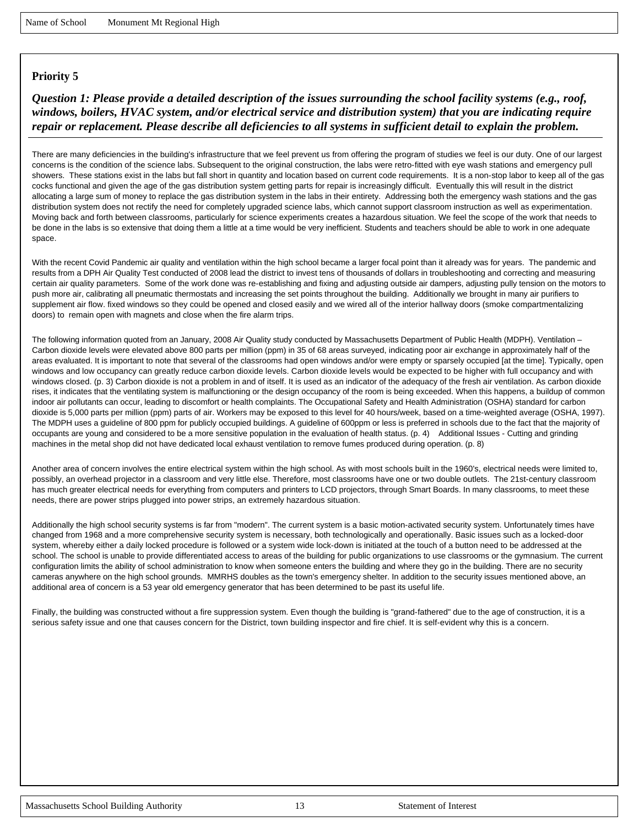### *Question 1: Please provide a detailed description of the issues surrounding the school facility systems (e.g., roof, windows, boilers, HVAC system, and/or electrical service and distribution system) that you are indicating require repair or replacement. Please describe all deficiencies to all systems in sufficient detail to explain the problem.*

There are many deficiencies in the building's infrastructure that we feel prevent us from offering the program of studies we feel is our duty. One of our largest concerns is the condition of the science labs. Subsequent to the original construction, the labs were retro-fitted with eye wash stations and emergency pull showers. These stations exist in the labs but fall short in quantity and location based on current code requirements. It is a non-stop labor to keep all of the gas cocks functional and given the age of the gas distribution system getting parts for repair is increasingly difficult. Eventually this will result in the district allocating a large sum of money to replace the gas distribution system in the labs in their entirety. Addressing both the emergency wash stations and the gas distribution system does not rectify the need for completely upgraded science labs, which cannot support classroom instruction as well as experimentation. Moving back and forth between classrooms, particularly for science experiments creates a hazardous situation. We feel the scope of the work that needs to be done in the labs is so extensive that doing them a little at a time would be very inefficient. Students and teachers should be able to work in one adequate space.

With the recent Covid Pandemic air quality and ventilation within the high school became a larger focal point than it already was for years. The pandemic and results from a DPH Air Quality Test conducted of 2008 lead the district to invest tens of thousands of dollars in troubleshooting and correcting and measuring certain air quality parameters. Some of the work done was re-establishing and fixing and adjusting outside air dampers, adjusting pully tension on the motors to push more air, calibrating all pneumatic thermostats and increasing the set points throughout the building. Additionally we brought in many air purifiers to supplement air flow. fixed windows so they could be opened and closed easily and we wired all of the interior hallway doors (smoke compartmentalizing doors) to remain open with magnets and close when the fire alarm trips.

The following information quoted from an January, 2008 Air Quality study conducted by Massachusetts Department of Public Health (MDPH). Ventilation – Carbon dioxide levels were elevated above 800 parts per million (ppm) in 35 of 68 areas surveyed, indicating poor air exchange in approximately half of the areas evaluated. It is important to note that several of the classrooms had open windows and/or were empty or sparsely occupied [at the time]. Typically, open windows and low occupancy can greatly reduce carbon dioxide levels. Carbon dioxide levels would be expected to be higher with full occupancy and with windows closed. (p. 3) Carbon dioxide is not a problem in and of itself. It is used as an indicator of the adequacy of the fresh air ventilation. As carbon dioxide rises, it indicates that the ventilating system is malfunctioning or the design occupancy of the room is being exceeded. When this happens, a buildup of common indoor air pollutants can occur, leading to discomfort or health complaints. The Occupational Safety and Health Administration (OSHA) standard for carbon dioxide is 5,000 parts per million (ppm) parts of air. Workers may be exposed to this level for 40 hours/week, based on a time-weighted average (OSHA, 1997). The MDPH uses a guideline of 800 ppm for publicly occupied buildings. A guideline of 600ppm or less is preferred in schools due to the fact that the majority of occupants are young and considered to be a more sensitive population in the evaluation of health status. (p. 4) Additional Issues - Cutting and grinding machines in the metal shop did not have dedicated local exhaust ventilation to remove fumes produced during operation. (p. 8)

Another area of concern involves the entire electrical system within the high school. As with most schools built in the 1960's, electrical needs were limited to, possibly, an overhead projector in a classroom and very little else. Therefore, most classrooms have one or two double outlets. The 21st-century classroom has much greater electrical needs for everything from computers and printers to LCD projectors, through Smart Boards. In many classrooms, to meet these needs, there are power strips plugged into power strips, an extremely hazardous situation.

Additionally the high school security systems is far from "modern". The current system is a basic motion-activated security system. Unfortunately times have changed from 1968 and a more comprehensive security system is necessary, both technologically and operationally. Basic issues such as a locked-door system, whereby either a daily locked procedure is followed or a system wide lock-down is initiated at the touch of a button need to be addressed at the school. The school is unable to provide differentiated access to areas of the building for public organizations to use classrooms or the gymnasium. The current configuration limits the ability of school administration to know when someone enters the building and where they go in the building. There are no security cameras anywhere on the high school grounds. MMRHS doubles as the town's emergency shelter. In addition to the security issues mentioned above, an additional area of concern is a 53 year old emergency generator that has been determined to be past its useful life.

Finally, the building was constructed without a fire suppression system. Even though the building is "grand-fathered" due to the age of construction, it is a serious safety issue and one that causes concern for the District, town building inspector and fire chief. It is self-evident why this is a concern.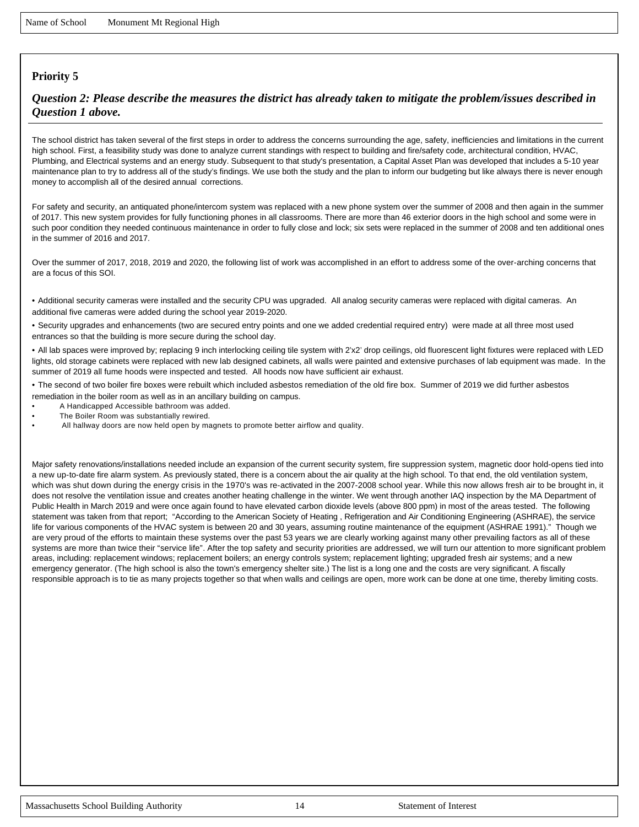### *Question 2: Please describe the measures the district has already taken to mitigate the problem/issues described in Question 1 above.*

The school district has taken several of the first steps in order to address the concerns surrounding the age, safety, inefficiencies and limitations in the current high school. First, a feasibility study was done to analyze current standings with respect to building and fire/safety code, architectural condition, HVAC, Plumbing, and Electrical systems and an energy study. Subsequent to that study's presentation, a Capital Asset Plan was developed that includes a 5-10 year maintenance plan to try to address all of the study's findings. We use both the study and the plan to inform our budgeting but like always there is never enough money to accomplish all of the desired annual corrections.

For safety and security, an antiquated phone/intercom system was replaced with a new phone system over the summer of 2008 and then again in the summer of 2017. This new system provides for fully functioning phones in all classrooms. There are more than 46 exterior doors in the high school and some were in such poor condition they needed continuous maintenance in order to fully close and lock; six sets were replaced in the summer of 2008 and ten additional ones in the summer of 2016 and 2017.

Over the summer of 2017, 2018, 2019 and 2020, the following list of work was accomplished in an effort to address some of the over-arching concerns that are a focus of this SOI.

• Additional security cameras were installed and the security CPU was upgraded. All analog security cameras were replaced with digital cameras. An additional five cameras were added during the school year 2019-2020.

• Security upgrades and enhancements (two are secured entry points and one we added credential required entry) were made at all three most used entrances so that the building is more secure during the school day.

• All lab spaces were improved by; replacing 9 inch interlocking ceiling tile system with 2'x2' drop ceilings, old fluorescent light fixtures were replaced with LED lights, old storage cabinets were replaced with new lab designed cabinets, all walls were painted and extensive purchases of lab equipment was made. In the summer of 2019 all fume hoods were inspected and tested. All hoods now have sufficient air exhaust.

- The second of two boiler fire boxes were rebuilt which included asbestos remediation of the old fire box. Summer of 2019 we did further asbestos remediation in the boiler room as well as in an ancillary building on campus.
- A Handicapped Accessible bathroom was added.
- The Boiler Room was substantially rewired.
- All hallway doors are now held open by magnets to promote better airflow and quality.

Major safety renovations/installations needed include an expansion of the current security system, fire suppression system, magnetic door hold-opens tied into a new up-to-date fire alarm system. As previously stated, there is a concern about the air quality at the high school. To that end, the old ventilation system, which was shut down during the energy crisis in the 1970's was re-activated in the 2007-2008 school year. While this now allows fresh air to be brought in, it does not resolve the ventilation issue and creates another heating challenge in the winter. We went through another IAQ inspection by the MA Department of Public Health in March 2019 and were once again found to have elevated carbon dioxide levels (above 800 ppm) in most of the areas tested. The following statement was taken from that report; "According to the American Society of Heating , Refrigeration and Air Conditioning Engineering (ASHRAE), the service life for various components of the HVAC system is between 20 and 30 years, assuming routine maintenance of the equipment (ASHRAE 1991)." Though we are very proud of the efforts to maintain these systems over the past 53 years we are clearly working against many other prevailing factors as all of these systems are more than twice their "service life". After the top safety and security priorities are addressed, we will turn our attention to more significant problem areas, including: replacement windows; replacement boilers; an energy controls system; replacement lighting; upgraded fresh air systems; and a new emergency generator. (The high school is also the town's emergency shelter site.) The list is a long one and the costs are very significant. A fiscally responsible approach is to tie as many projects together so that when walls and ceilings are open, more work can be done at one time, thereby limiting costs.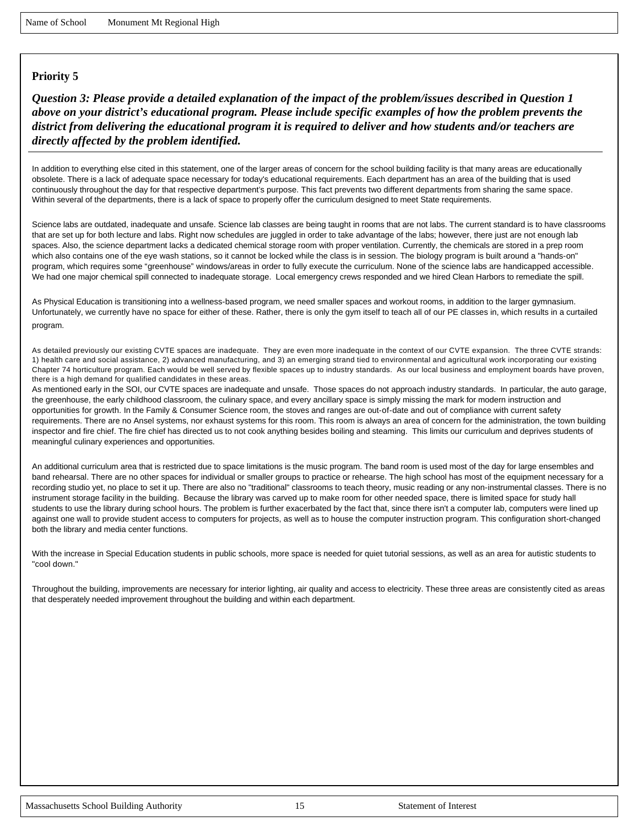*Question 3: Please provide a detailed explanation of the impact of the problem/issues described in Question 1 above on your district's educational program. Please include specific examples of how the problem prevents the district from delivering the educational program it is required to deliver and how students and/or teachers are directly affected by the problem identified.*

In addition to everything else cited in this statement, one of the larger areas of concern for the school building facility is that many areas are educationally obsolete. There is a lack of adequate space necessary for today's educational requirements. Each department has an area of the building that is used continuously throughout the day for that respective department's purpose. This fact prevents two different departments from sharing the same space. Within several of the departments, there is a lack of space to properly offer the curriculum designed to meet State requirements.

Science labs are outdated, inadequate and unsafe. Science lab classes are being taught in rooms that are not labs. The current standard is to have classrooms that are set up for both lecture and labs. Right now schedules are juggled in order to take advantage of the labs; however, there just are not enough lab spaces. Also, the science department lacks a dedicated chemical storage room with proper ventilation. Currently, the chemicals are stored in a prep room which also contains one of the eye wash stations, so it cannot be locked while the class is in session. The biology program is built around a "hands-on" program, which requires some "greenhouse" windows/areas in order to fully execute the curriculum. None of the science labs are handicapped accessible. We had one major chemical spill connected to inadequate storage. Local emergency crews responded and we hired Clean Harbors to remediate the spill.

As Physical Education is transitioning into a wellness-based program, we need smaller spaces and workout rooms, in addition to the larger gymnasium. Unfortunately, we currently have no space for either of these. Rather, there is only the gym itself to teach all of our PE classes in, which results in a curtailed program.

As detailed previously our existing CVTE spaces are inadequate. They are even more inadequate in the context of our CVTE expansion. The three CVTE strands: 1) health care and social assistance, 2) advanced manufacturing, and 3) an emerging strand tied to environmental and agricultural work incorporating our existing Chapter 74 horticulture program. Each would be well served by flexible spaces up to industry standards. As our local business and employment boards have proven, there is a high demand for qualified candidates in these areas.

As mentioned early in the SOI, our CVTE spaces are inadequate and unsafe. Those spaces do not approach industry standards. In particular, the auto garage, the greenhouse, the early childhood classroom, the culinary space, and every ancillary space is simply missing the mark for modern instruction and opportunities for growth. In the Family & Consumer Science room, the stoves and ranges are out-of-date and out of compliance with current safety requirements. There are no Ansel systems, nor exhaust systems for this room. This room is always an area of concern for the administration, the town building inspector and fire chief. The fire chief has directed us to not cook anything besides boiling and steaming. This limits our curriculum and deprives students of meaningful culinary experiences and opportunities.

An additional curriculum area that is restricted due to space limitations is the music program. The band room is used most of the day for large ensembles and band rehearsal. There are no other spaces for individual or smaller groups to practice or rehearse. The high school has most of the equipment necessary for a recording studio yet, no place to set it up. There are also no "traditional" classrooms to teach theory, music reading or any non-instrumental classes. There is no instrument storage facility in the building. Because the library was carved up to make room for other needed space, there is limited space for study hall students to use the library during school hours. The problem is further exacerbated by the fact that, since there isn't a computer lab, computers were lined up against one wall to provide student access to computers for projects, as well as to house the computer instruction program. This configuration short-changed both the library and media center functions.

With the increase in Special Education students in public schools, more space is needed for quiet tutorial sessions, as well as an area for autistic students to "cool down."

Throughout the building, improvements are necessary for interior lighting, air quality and access to electricity. These three areas are consistently cited as areas that desperately needed improvement throughout the building and within each department.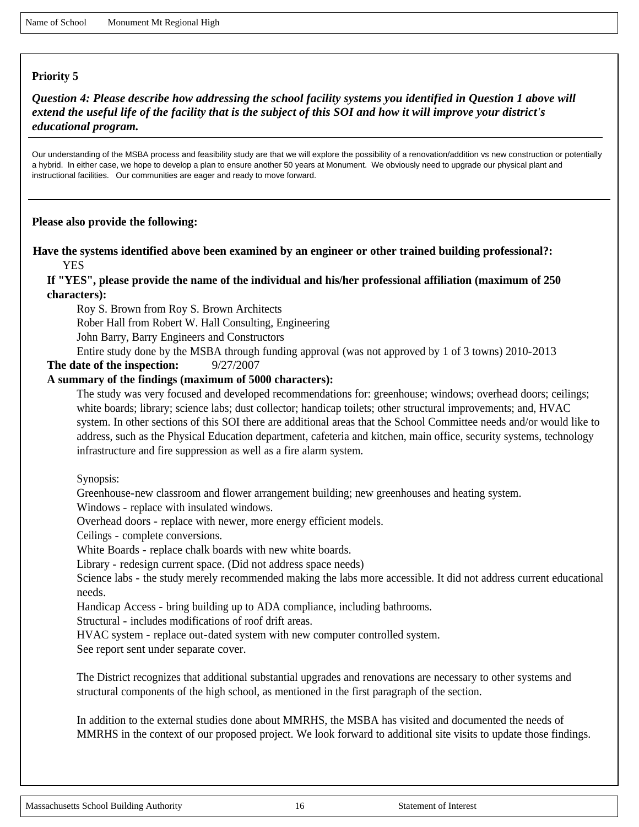*Question 4: Please describe how addressing the school facility systems you identified in Question 1 above will extend the useful life of the facility that is the subject of this SOI and how it will improve your district's educational program.*

Our understanding of the MSBA process and feasibility study are that we will explore the possibility of a renovation/addition vs new construction or potentially a hybrid. In either case, we hope to develop a plan to ensure another 50 years at Monument. We obviously need to upgrade our physical plant and instructional facilities. Our communities are eager and ready to move forward.

#### **Please also provide the following:**

#### **Have the systems identified above been examined by an engineer or other trained building professional?:**  YES

#### **If "YES", please provide the name of the individual and his/her professional affiliation (maximum of 250 characters):**

Roy S. Brown from Roy S. Brown Architects

Rober Hall from Robert W. Hall Consulting, Engineering

John Barry, Barry Engineers and Constructors

Entire study done by the MSBA through funding approval (was not approved by 1 of 3 towns) 2010-2013

**The date of the inspection:** 9/27/2007

#### **A summary of the findings (maximum of 5000 characters):**

The study was very focused and developed recommendations for: greenhouse; windows; overhead doors; ceilings; white boards; library; science labs; dust collector; handicap toilets; other structural improvements; and, HVAC system. In other sections of this SOI there are additional areas that the School Committee needs and/or would like to address, such as the Physical Education department, cafeteria and kitchen, main office, security systems, technology infrastructure and fire suppression as well as a fire alarm system.

Synopsis:

Greenhouse-new classroom and flower arrangement building; new greenhouses and heating system.

Windows - replace with insulated windows.

Overhead doors - replace with newer, more energy efficient models.

Ceilings - complete conversions.

White Boards - replace chalk boards with new white boards.

Library - redesign current space. (Did not address space needs)

Science labs - the study merely recommended making the labs more accessible. It did not address current educational needs.

Handicap Access - bring building up to ADA compliance, including bathrooms.

Structural - includes modifications of roof drift areas.

HVAC system - replace out-dated system with new computer controlled system.

See report sent under separate cover.

The District recognizes that additional substantial upgrades and renovations are necessary to other systems and structural components of the high school, as mentioned in the first paragraph of the section.

In addition to the external studies done about MMRHS, the MSBA has visited and documented the needs of MMRHS in the context of our proposed project. We look forward to additional site visits to update those findings.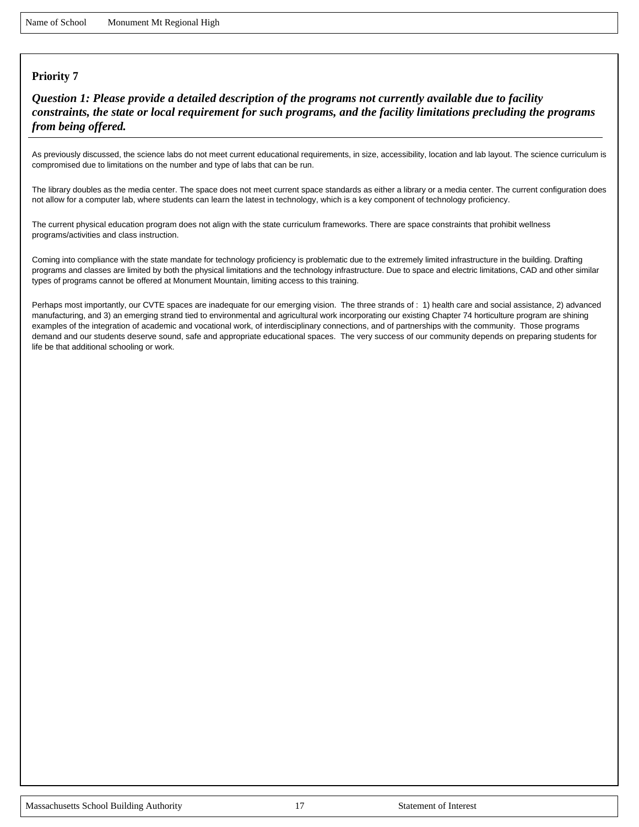*Question 1: Please provide a detailed description of the programs not currently available due to facility constraints, the state or local requirement for such programs, and the facility limitations precluding the programs from being offered.*

As previously discussed, the science labs do not meet current educational requirements, in size, accessibility, location and lab layout. The science curriculum is compromised due to limitations on the number and type of labs that can be run.

The library doubles as the media center. The space does not meet current space standards as either a library or a media center. The current configuration does not allow for a computer lab, where students can learn the latest in technology, which is a key component of technology proficiency.

The current physical education program does not align with the state curriculum frameworks. There are space constraints that prohibit wellness programs/activities and class instruction.

Coming into compliance with the state mandate for technology proficiency is problematic due to the extremely limited infrastructure in the building. Drafting programs and classes are limited by both the physical limitations and the technology infrastructure. Due to space and electric limitations, CAD and other similar types of programs cannot be offered at Monument Mountain, limiting access to this training.

Perhaps most importantly, our CVTE spaces are inadequate for our emerging vision. The three strands of : 1) health care and social assistance, 2) advanced manufacturing, and 3) an emerging strand tied to environmental and agricultural work incorporating our existing Chapter 74 horticulture program are shining examples of the integration of academic and vocational work, of interdisciplinary connections, and of partnerships with the community. Those programs demand and our students deserve sound, safe and appropriate educational spaces. The very success of our community depends on preparing students for life be that additional schooling or work.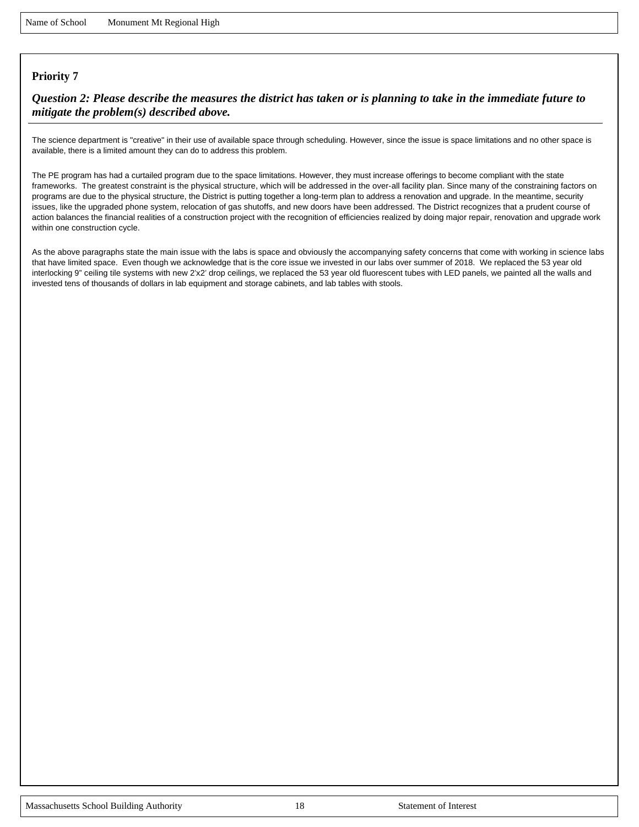#### *Question 2: Please describe the measures the district has taken or is planning to take in the immediate future to mitigate the problem(s) described above.*

The science department is "creative" in their use of available space through scheduling. However, since the issue is space limitations and no other space is available, there is a limited amount they can do to address this problem.

The PE program has had a curtailed program due to the space limitations. However, they must increase offerings to become compliant with the state frameworks. The greatest constraint is the physical structure, which will be addressed in the over-all facility plan. Since many of the constraining factors on programs are due to the physical structure, the District is putting together a long-term plan to address a renovation and upgrade. In the meantime, security issues, like the upgraded phone system, relocation of gas shutoffs, and new doors have been addressed. The District recognizes that a prudent course of action balances the financial realities of a construction project with the recognition of efficiencies realized by doing major repair, renovation and upgrade work within one construction cycle.

As the above paragraphs state the main issue with the labs is space and obviously the accompanying safety concerns that come with working in science labs that have limited space. Even though we acknowledge that is the core issue we invested in our labs over summer of 2018. We replaced the 53 year old interlocking 9" ceiling tile systems with new 2'x2' drop ceilings, we replaced the 53 year old fluorescent tubes with LED panels, we painted all the walls and invested tens of thousands of dollars in lab equipment and storage cabinets, and lab tables with stools.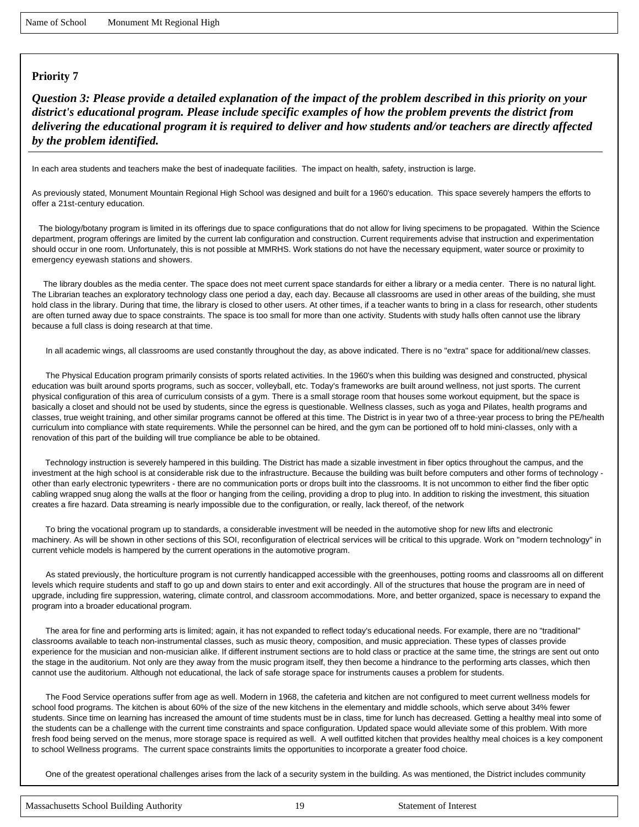*Question 3: Please provide a detailed explanation of the impact of the problem described in this priority on your district's educational program. Please include specific examples of how the problem prevents the district from delivering the educational program it is required to deliver and how students and/or teachers are directly affected by the problem identified.*

In each area students and teachers make the best of inadequate facilities. The impact on health, safety, instruction is large.

As previously stated, Monument Mountain Regional High School was designed and built for a 1960's education. This space severely hampers the efforts to offer a 21st-century education.

 The biology/botany program is limited in its offerings due to space configurations that do not allow for living specimens to be propagated. Within the Science department, program offerings are limited by the current lab configuration and construction. Current requirements advise that instruction and experimentation should occur in one room. Unfortunately, this is not possible at MMRHS. Work stations do not have the necessary equipment, water source or proximity to emergency eyewash stations and showers.

 The library doubles as the media center. The space does not meet current space standards for either a library or a media center. There is no natural light. The Librarian teaches an exploratory technology class one period a day, each day. Because all classrooms are used in other areas of the building, she must hold class in the library. During that time, the library is closed to other users. At other times, if a teacher wants to bring in a class for research, other students are often turned away due to space constraints. The space is too small for more than one activity. Students with study halls often cannot use the library because a full class is doing research at that time.

In all academic wings, all classrooms are used constantly throughout the day, as above indicated. There is no "extra" space for additional/new classes.

 The Physical Education program primarily consists of sports related activities. In the 1960's when this building was designed and constructed, physical education was built around sports programs, such as soccer, volleyball, etc. Today's frameworks are built around wellness, not just sports. The current physical configuration of this area of curriculum consists of a gym. There is a small storage room that houses some workout equipment, but the space is basically a closet and should not be used by students, since the egress is questionable. Wellness classes, such as yoga and Pilates, health programs and classes, true weight training, and other similar programs cannot be offered at this time. The District is in year two of a three-year process to bring the PE/health curriculum into compliance with state requirements. While the personnel can be hired, and the gym can be portioned off to hold mini-classes, only with a renovation of this part of the building will true compliance be able to be obtained.

 Technology instruction is severely hampered in this building. The District has made a sizable investment in fiber optics throughout the campus, and the investment at the high school is at considerable risk due to the infrastructure. Because the building was built before computers and other forms of technology other than early electronic typewriters - there are no communication ports or drops built into the classrooms. It is not uncommon to either find the fiber optic cabling wrapped snug along the walls at the floor or hanging from the ceiling, providing a drop to plug into. In addition to risking the investment, this situation creates a fire hazard. Data streaming is nearly impossible due to the configuration, or really, lack thereof, of the network

 To bring the vocational program up to standards, a considerable investment will be needed in the automotive shop for new lifts and electronic machinery. As will be shown in other sections of this SOI, reconfiguration of electrical services will be critical to this upgrade. Work on "modern technology" in current vehicle models is hampered by the current operations in the automotive program.

 As stated previously, the horticulture program is not currently handicapped accessible with the greenhouses, potting rooms and classrooms all on different levels which require students and staff to go up and down stairs to enter and exit accordingly. All of the structures that house the program are in need of upgrade, including fire suppression, watering, climate control, and classroom accommodations. More, and better organized, space is necessary to expand the program into a broader educational program.

 The area for fine and performing arts is limited; again, it has not expanded to reflect today's educational needs. For example, there are no "traditional" classrooms available to teach non-instrumental classes, such as music theory, composition, and music appreciation. These types of classes provide experience for the musician and non-musician alike. If different instrument sections are to hold class or practice at the same time, the strings are sent out onto the stage in the auditorium. Not only are they away from the music program itself, they then become a hindrance to the performing arts classes, which then cannot use the auditorium. Although not educational, the lack of safe storage space for instruments causes a problem for students.

 The Food Service operations suffer from age as well. Modern in 1968, the cafeteria and kitchen are not configured to meet current wellness models for school food programs. The kitchen is about 60% of the size of the new kitchens in the elementary and middle schools, which serve about 34% fewer students. Since time on learning has increased the amount of time students must be in class, time for lunch has decreased. Getting a healthy meal into some of the students can be a challenge with the current time constraints and space configuration. Updated space would alleviate some of this problem. With more fresh food being served on the menus, more storage space is required as well. A well outfitted kitchen that provides healthy meal choices is a key component to school Wellness programs. The current space constraints limits the opportunities to incorporate a greater food choice.

One of the greatest operational challenges arises from the lack of a security system in the building. As was mentioned, the District includes community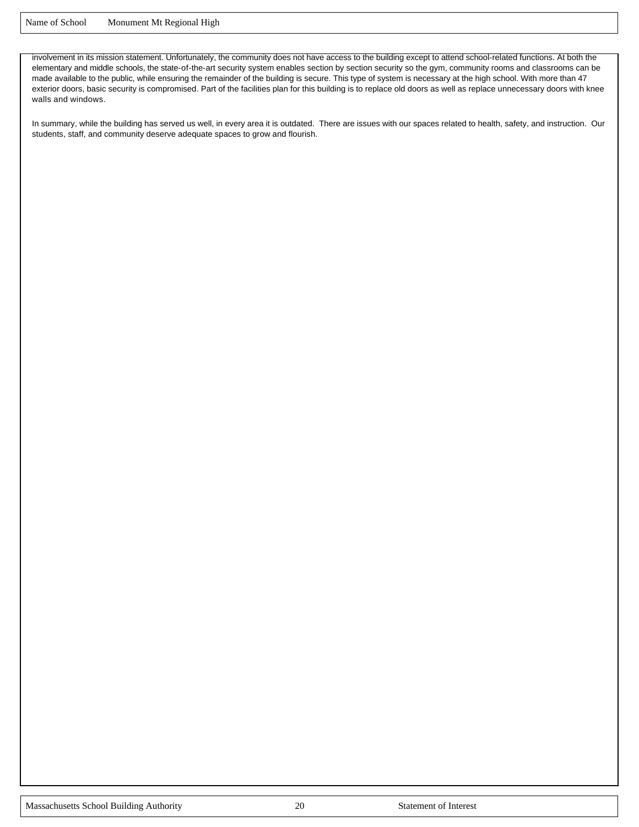involvement in its mission statement. Unfortunately, the community does not have access to the building except to attend school-related functions. At both the elementary and middle schools, the state-of-the-art security system enables section by section security so the gym, community rooms and classrooms can be made available to the public, while ensuring the remainder of the building is secure. This type of system is necessary at the high school. With more than 47 exterior doors, basic security is compromised. Part of the facilities plan for this building is to replace old doors as well as replace unnecessary doors with knee walls and windows.

In summary, while the building has served us well, in every area it is outdated. There are issues with our spaces related to health, safety, and instruction. Our students, staff, and community deserve adequate spaces to grow and flourish.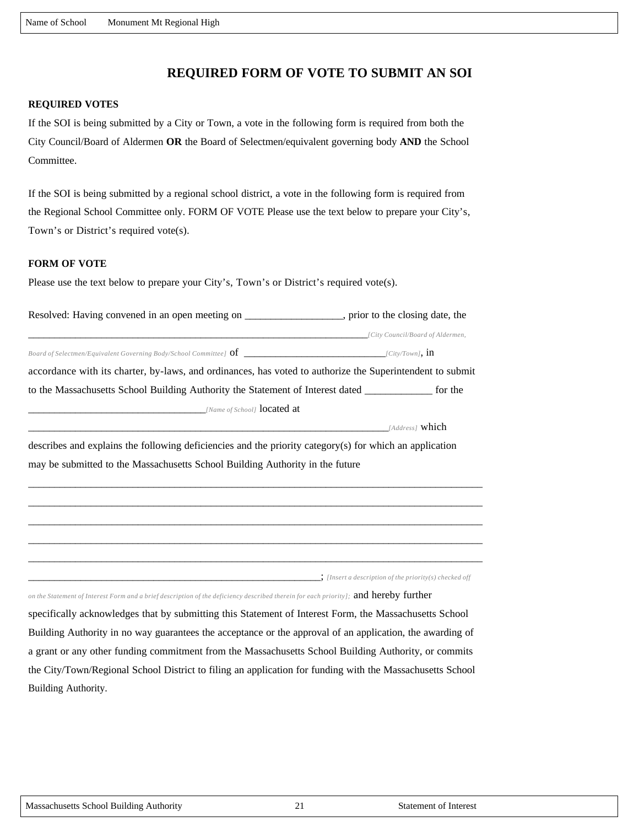## **REQUIRED FORM OF VOTE TO SUBMIT AN SOI**

#### **REQUIRED VOTES**

If the SOI is being submitted by a City or Town, a vote in the following form is required from both the City Council/Board of Aldermen **OR** the Board of Selectmen/equivalent governing body **AND** the School Committee.

If the SOI is being submitted by a regional school district, a vote in the following form is required from the Regional School Committee only. FORM OF VOTE Please use the text below to prepare your City's, Town's or District's required vote(s).

#### **FORM OF VOTE**

Please use the text below to prepare your City's, Town's or District's required vote(s).

| Resolved: Having convened in an open meeting on                                                           | , prior to the closing date, the |  |  |
|-----------------------------------------------------------------------------------------------------------|----------------------------------|--|--|
|                                                                                                           | [City Council/Board of Aldermen, |  |  |
| Board of Selectmen/Equivalent Governing Body/School Committee] $of$                                       | $\left[Clity/Down\right]$ , 11   |  |  |
| accordance with its charter, by-laws, and ordinances, has voted to authorize the Superintendent to submit |                                  |  |  |
| to the Massachusetts School Building Authority the Statement of Interest dated                            |                                  |  |  |
| [Name of School] <b>located at</b>                                                                        |                                  |  |  |
|                                                                                                           | [Address] <b>which</b>           |  |  |

describes and explains the following deficiencies and the priority category(s) for which an application may be submitted to the Massachusetts School Building Authority in the future

\_\_\_\_\_\_\_\_\_\_\_\_\_\_\_\_\_\_\_\_\_\_\_\_\_\_\_\_\_\_\_\_\_\_\_\_\_\_\_\_\_\_\_\_\_\_\_\_\_\_\_\_\_\_\_\_\_\_\_\_\_\_\_\_\_\_\_\_\_\_\_\_\_\_\_\_\_\_\_\_\_\_\_\_\_\_\_ \_\_\_\_\_\_\_\_\_\_\_\_\_\_\_\_\_\_\_\_\_\_\_\_\_\_\_\_\_\_\_\_\_\_\_\_\_\_\_\_\_\_\_\_\_\_\_\_\_\_\_\_\_\_\_\_\_\_\_\_\_\_\_\_\_\_\_\_\_\_\_\_\_\_\_\_\_\_\_\_\_\_\_\_\_\_\_ \_\_\_\_\_\_\_\_\_\_\_\_\_\_\_\_\_\_\_\_\_\_\_\_\_\_\_\_\_\_\_\_\_\_\_\_\_\_\_\_\_\_\_\_\_\_\_\_\_\_\_\_\_\_\_\_\_\_\_\_\_\_\_\_\_\_\_\_\_\_\_\_\_\_\_\_\_\_\_\_\_\_\_\_\_\_\_ \_\_\_\_\_\_\_\_\_\_\_\_\_\_\_\_\_\_\_\_\_\_\_\_\_\_\_\_\_\_\_\_\_\_\_\_\_\_\_\_\_\_\_\_\_\_\_\_\_\_\_\_\_\_\_\_\_\_\_\_\_\_\_\_\_\_\_\_\_\_\_\_\_\_\_\_\_\_\_\_\_\_\_\_\_\_\_ \_\_\_\_\_\_\_\_\_\_\_\_\_\_\_\_\_\_\_\_\_\_\_\_\_\_\_\_\_\_\_\_\_\_\_\_\_\_\_\_\_\_\_\_\_\_\_\_\_\_\_\_\_\_\_\_\_\_\_\_\_\_\_\_\_\_\_\_\_\_\_\_\_\_\_\_\_\_\_\_\_\_\_\_\_\_\_

\_\_\_\_\_\_\_\_\_\_\_\_\_\_\_\_\_\_\_\_\_\_\_\_\_\_\_\_\_\_\_\_\_\_\_\_\_\_\_\_\_\_\_\_\_\_\_\_\_\_\_\_\_\_\_\_; *[Insert a description of the priority(s) checked off* 

*on the Statement of Interest Form and a brief description of the deficiency described therein for each priority];* and hereby further

specifically acknowledges that by submitting this Statement of Interest Form, the Massachusetts School Building Authority in no way guarantees the acceptance or the approval of an application, the awarding of a grant or any other funding commitment from the Massachusetts School Building Authority, or commits the City/Town/Regional School District to filing an application for funding with the Massachusetts School Building Authority.